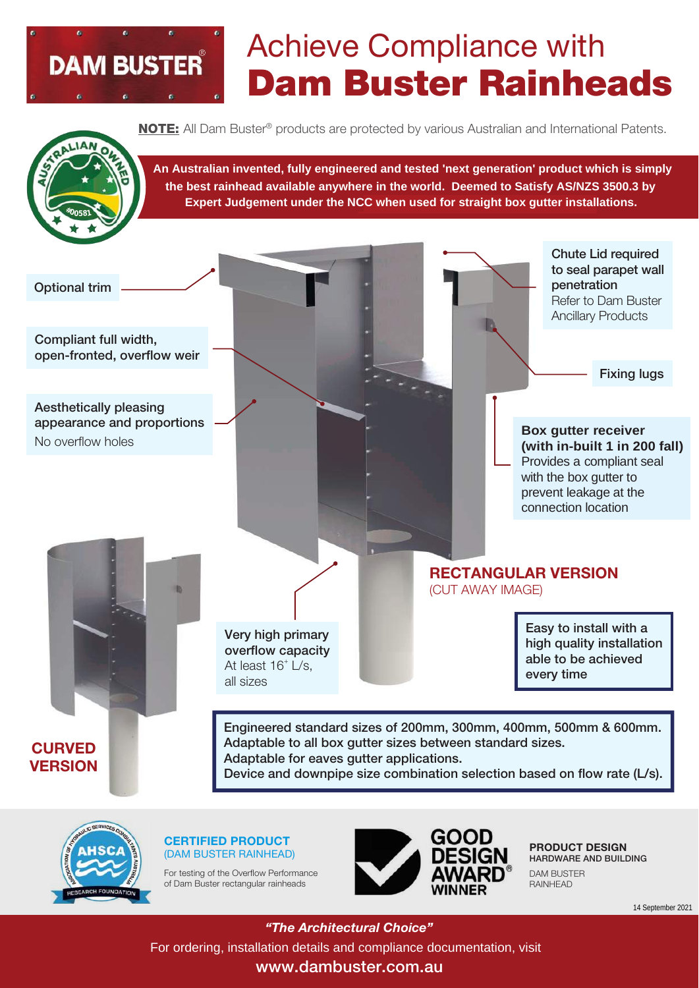

## Achieve Compliance with Dam Buster Rainheads

**NOTE:** All Dam Buster<sup>®</sup> products are protected by various Australian and International Patents.



An Australian invented, fully engineered and tested 'next generation' product which is simply the best rainhead available anywhere in the world. Deemed to Satisfy AS/NZS 3500.3 by **Expert Judgement under the NCC when used for straight box gutter installations.** sion Part A2.3 (2) (b).







of Dam Buster rectangular rainheads



PRODUCT DESIGN HARDWARE AND BUILDING DAM BUSTER RAINHEAD

14 September 2021

www.dambuster.com.au *"The Architectural Choice"* <sup>14 September 2021</sup><br>**For ordering, installation details and compliance documentation, visit "For ordering, installation details and compliance documentation, visit**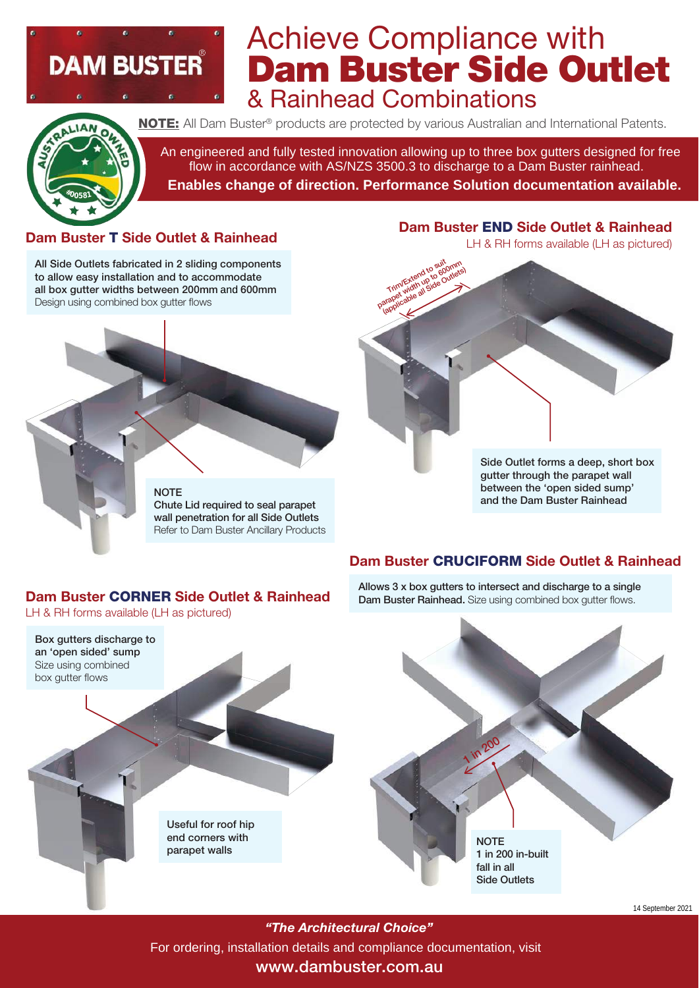# **DAM BUSTER**

### Achieve Compliance with Dam Buster Side Outlet & Rainhead Combinations



NOTE: All Dam Buster<sup>®</sup> products are protected by various Australian and International Patents.

An engineered and fully tested innovation allowing up to three box gutters designed for free flow in accordance with AS/NZS 3500.3 to discharge to a Dam Buster rainhead. **Example 20 And Solution Section**<br>
An engineered and fully tested innovation allowin<br>
flow in accordance with AS/NZS 3500.3 to d<br>
Enables change of direction. Performanc<br>
Pam E **Enables change of direction. Performance Solution documentation available.**

#### Dam Buster T Side Outlet & Rainhead

All Side Outlets fabricated in 2 sliding components to allow easy installation and to accommodate all box gutter widths between 200mm Design using combined box gutter flows



### Dam Buster END Side Outlet & Rainhead

LH & RH forms available (LH as pictured)



Side Outlet forms a deep, short box gutter through the parapet wall between the 'open sided sump' and the Dam Buster Rainhead

#### Dam Buster CRUCIFORM Side Outlet & Rainhead

Allows 3 x box gutters to intersect and discharge to a single Dam Buster Rainhead. Size using combined box gutter flows.

#### Dam Buster CORNER Side Outlet & Rainhead

Useful for roof hip end corners with parapet walls

LH & RH forms available (LH as pictured)

Box gutters discharge to an 'open sided' sump Size using combined box gutter flows



*"The Architectural Choice"* For ordering, installation details and compliance documentation, visit

#### www.dambuster.com.au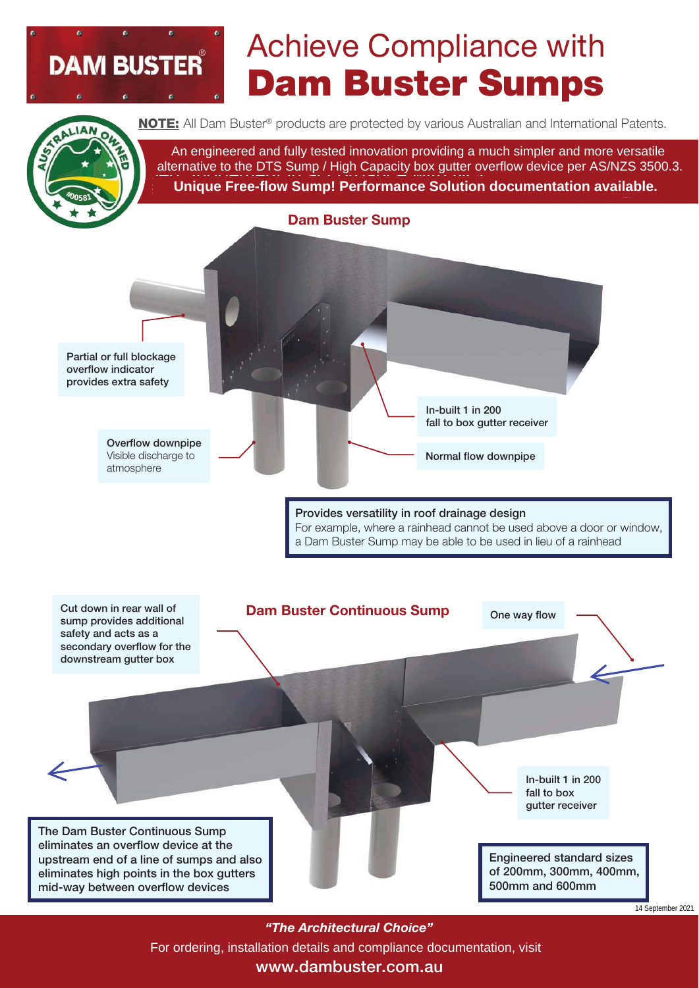### Achieve Compliance with Dam Buster Sumps



**DAM BUSTER** 

**NOTE:** All Dam Buster<sup>®</sup> products are protected by various Australian and International Patents.

An engineered and fully tested innovation providing a much simpler and more versatile  $\mathsf{N}$  alternative to the DTS Sump / High Capacity box gutte **Unique Free-flow Sump! Performance Solution documentation available. NOTE:** All Dam Buster® products are protected by various Australian and International Patents.<br>An engineered and fully tested innovation providing a much simpler and more versatile<br>alternative to the DTS Sump / High Capac pert Judgement in accordance with NCC alternative to the DTS Sump / High Capacity box gutter overflow device per AS/NZS 3500.3. MOTE: All Dam Buster® products are protected by various Australian and fully tested innovation providing a muddernative to the DTS Sump / High Capacity box gutter over Unique Free-flow Sump! Performance Solution d



*"The Architectural Choice"*

<sup>14 September 2021<br>For ordering, installation details and compliance documentation, visit</sup>

#### www.dambuster.com.au www.dambuster.com.au